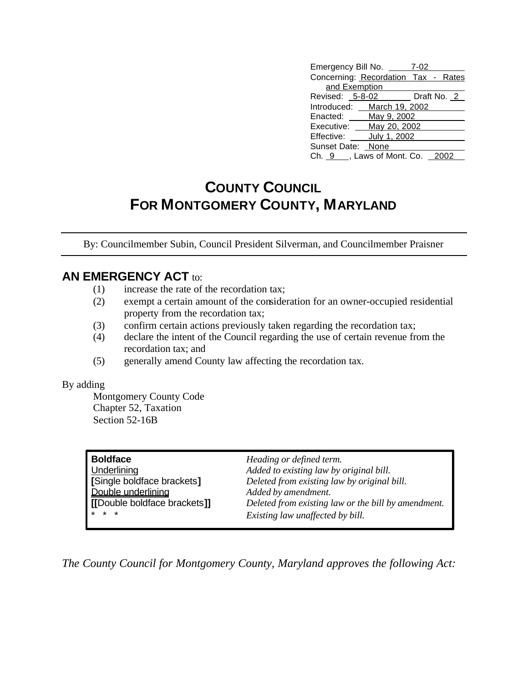| Emergency Bill No. __               | 7-02        |
|-------------------------------------|-------------|
| Concerning: Recordation Tax - Rates |             |
| and Exemption                       |             |
| Revised: 5-8-02                     | Draft No. 2 |
| Introduced: March 19, 2002          |             |
| Enacted: May 9, 2002                |             |
| Executive: ___ May 20, 2002         |             |
| July 1, 2002<br>Effective:          |             |
| Sunset Date: None                   |             |
| Ch. 9 ___, Laws of Mont. Co. 2002   |             |

## **COUNTY COUNCIL FOR MONTGOMERY COUNTY, MARYLAND**

By: Councilmember Subin, Council President Silverman, and Councilmember Praisner

## **AN EMERGENCY ACT to:**

- (1) increase the rate of the recordation tax;
- (2) exempt a certain amount of the consideration for an owner-occupied residential property from the recordation tax;
- (3) confirm certain actions previously taken regarding the recordation tax;
- (4) declare the intent of the Council regarding the use of certain revenue from the recordation tax; and
- (5) generally amend County law affecting the recordation tax.

## By adding

Montgomery County Code Chapter 52, Taxation Section 52-16B

| <b>Boldface</b>              | Heading or defined term.                            |
|------------------------------|-----------------------------------------------------|
| Underlining                  | Added to existing law by original bill.             |
| [Single boldface brackets]   | Deleted from existing law by original bill.         |
| Double underlining           | Added by amendment.                                 |
| [[Double boldface brackets]] | Deleted from existing law or the bill by amendment. |
| * * *                        | Existing law unaffected by bill.                    |

*The County Council for Montgomery County, Maryland approves the following Act:*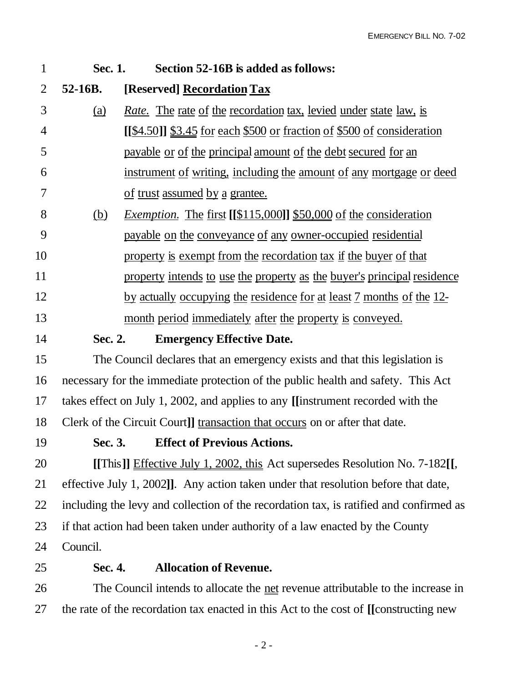| $\mathbf{1}$ | Sec. 1.    | Section 52-16B is added as follows:                                                    |
|--------------|------------|----------------------------------------------------------------------------------------|
| 2            | 52-16B.    | [Reserved] Recordation Tax                                                             |
| 3            | <u>(a)</u> | <i>Rate.</i> The rate of the recordation tax, levied under state law, is               |
| 4            |            | [[\$4.50]] \$3.45 for each \$500 or fraction of \$500 of consideration                 |
| 5            |            | payable or of the principal amount of the debt secured for an                          |
| 6            |            | instrument of writing, including the amount of any mortgage or deed                    |
| 7            |            | of trust assumed by a grantee.                                                         |
| 8            | (b)        | <i>Exemption.</i> The first $[[\$115,000]]$ \$50,000 of the consideration              |
| 9            |            | payable on the conveyance of any owner-occupied residential                            |
| 10           |            | property is exempt from the recordation tax if the buyer of that                       |
| 11           |            | property intends to use the property as the buyer's principal residence                |
| 12           |            | by actually occupying the residence for at least 7 months of the 12-                   |
| 13           |            | month period immediately after the property is conveyed.                               |
| 14           | Sec. 2.    | <b>Emergency Effective Date.</b>                                                       |
| 15           |            | The Council declares that an emergency exists and that this legislation is             |
| 16           |            | necessary for the immediate protection of the public health and safety. This Act       |
| 17           |            | takes effect on July 1, 2002, and applies to any [[instrument recorded with the        |
| 18           |            | Clerk of the Circuit Court]] transaction that occurs on or after that date.            |
| 19           | Sec. 3.    | <b>Effect of Previous Actions.</b>                                                     |
| 20           |            | [[This]] Effective July 1, 2002, this Act supersedes Resolution No. 7-182[[,           |
| 21           |            | effective July 1, 2002]]. Any action taken under that resolution before that date,     |
| 22           |            | including the levy and collection of the recordation tax, is ratified and confirmed as |
| 23           |            | if that action had been taken under authority of a law enacted by the County           |
| 24           | Council.   |                                                                                        |
| 25           | Sec. 4.    | <b>Allocation of Revenue.</b>                                                          |
| 26           |            | The Council intends to allocate the <u>net</u> revenue attributable to the increase in |

the rate of the recordation tax enacted in this Act to the cost of **[[**constructing new

- 2 -